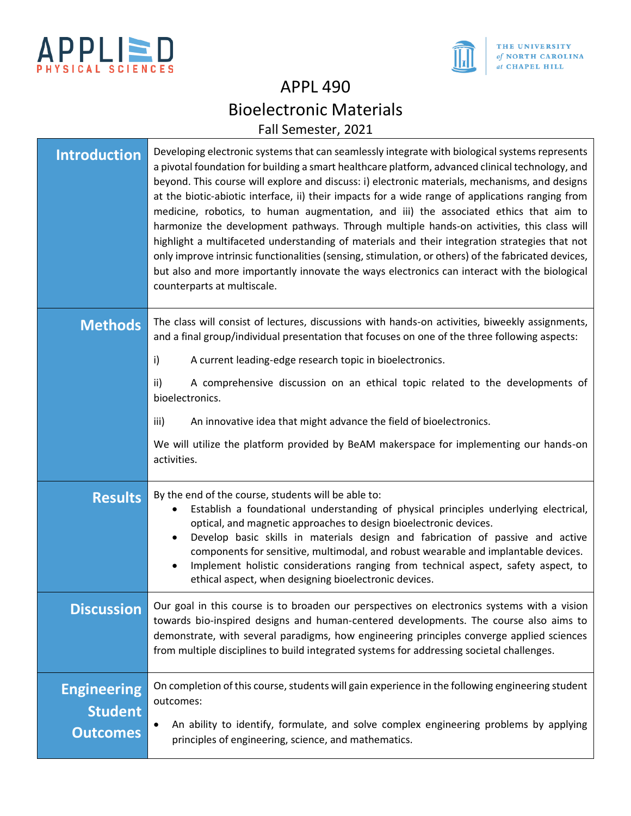



# APPL 490 Bioelectronic Materials Fall Semester, 2021

| <b>Introduction</b>                                     | Developing electronic systems that can seamlessly integrate with biological systems represents<br>a pivotal foundation for building a smart healthcare platform, advanced clinical technology, and<br>beyond. This course will explore and discuss: i) electronic materials, mechanisms, and designs<br>at the biotic-abiotic interface, ii) their impacts for a wide range of applications ranging from<br>medicine, robotics, to human augmentation, and iii) the associated ethics that aim to<br>harmonize the development pathways. Through multiple hands-on activities, this class will<br>highlight a multifaceted understanding of materials and their integration strategies that not<br>only improve intrinsic functionalities (sensing, stimulation, or others) of the fabricated devices,<br>but also and more importantly innovate the ways electronics can interact with the biological<br>counterparts at multiscale. |  |
|---------------------------------------------------------|---------------------------------------------------------------------------------------------------------------------------------------------------------------------------------------------------------------------------------------------------------------------------------------------------------------------------------------------------------------------------------------------------------------------------------------------------------------------------------------------------------------------------------------------------------------------------------------------------------------------------------------------------------------------------------------------------------------------------------------------------------------------------------------------------------------------------------------------------------------------------------------------------------------------------------------|--|
| <b>Methods</b>                                          | The class will consist of lectures, discussions with hands-on activities, biweekly assignments,<br>and a final group/individual presentation that focuses on one of the three following aspects:<br>A current leading-edge research topic in bioelectronics.<br>i)                                                                                                                                                                                                                                                                                                                                                                                                                                                                                                                                                                                                                                                                    |  |
|                                                         | ii)<br>A comprehensive discussion on an ethical topic related to the developments of<br>bioelectronics.                                                                                                                                                                                                                                                                                                                                                                                                                                                                                                                                                                                                                                                                                                                                                                                                                               |  |
|                                                         | An innovative idea that might advance the field of bioelectronics.<br>iii)                                                                                                                                                                                                                                                                                                                                                                                                                                                                                                                                                                                                                                                                                                                                                                                                                                                            |  |
|                                                         | We will utilize the platform provided by BeAM makerspace for implementing our hands-on<br>activities.                                                                                                                                                                                                                                                                                                                                                                                                                                                                                                                                                                                                                                                                                                                                                                                                                                 |  |
| <b>Results</b>                                          | By the end of the course, students will be able to:<br>Establish a foundational understanding of physical principles underlying electrical,<br>optical, and magnetic approaches to design bioelectronic devices.<br>Develop basic skills in materials design and fabrication of passive and active<br>components for sensitive, multimodal, and robust wearable and implantable devices.<br>Implement holistic considerations ranging from technical aspect, safety aspect, to<br>ethical aspect, when designing bioelectronic devices.                                                                                                                                                                                                                                                                                                                                                                                               |  |
| <b>Discussion</b>                                       | Our goal in this course is to broaden our perspectives on electronics systems with a vision<br>towards bio-inspired designs and human-centered developments. The course also aims to<br>demonstrate, with several paradigms, how engineering principles converge applied sciences<br>from multiple disciplines to build integrated systems for addressing societal challenges.                                                                                                                                                                                                                                                                                                                                                                                                                                                                                                                                                        |  |
| <b>Engineering</b><br><b>Student</b><br><b>Outcomes</b> | On completion of this course, students will gain experience in the following engineering student<br>outcomes:<br>An ability to identify, formulate, and solve complex engineering problems by applying<br>principles of engineering, science, and mathematics.                                                                                                                                                                                                                                                                                                                                                                                                                                                                                                                                                                                                                                                                        |  |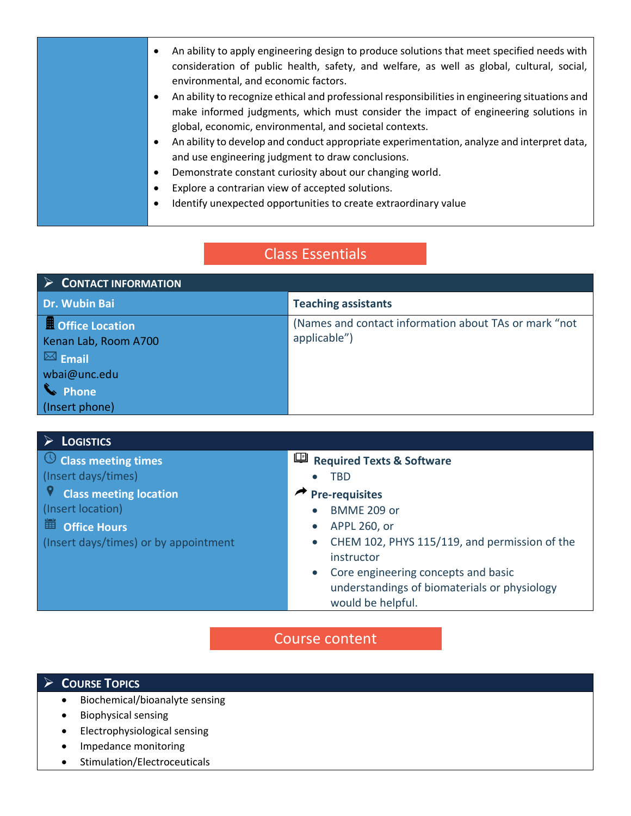| consideration of public health, safety, and welfare, as well as global, cultural, social,<br>environmental, and economic factors.<br>An ability to recognize ethical and professional responsibilities in engineering situations and<br>$\bullet$<br>make informed judgments, which must consider the impact of engineering solutions in<br>global, economic, environmental, and societal contexts.<br>An ability to develop and conduct appropriate experimentation, analyze and interpret data,<br>$\bullet$<br>and use engineering judgment to draw conclusions.<br>Demonstrate constant curiosity about our changing world.<br>٠<br>Explore a contrarian view of accepted solutions.<br>٠<br>Identify unexpected opportunities to create extraordinary value<br>$\bullet$ |
|-------------------------------------------------------------------------------------------------------------------------------------------------------------------------------------------------------------------------------------------------------------------------------------------------------------------------------------------------------------------------------------------------------------------------------------------------------------------------------------------------------------------------------------------------------------------------------------------------------------------------------------------------------------------------------------------------------------------------------------------------------------------------------|
|-------------------------------------------------------------------------------------------------------------------------------------------------------------------------------------------------------------------------------------------------------------------------------------------------------------------------------------------------------------------------------------------------------------------------------------------------------------------------------------------------------------------------------------------------------------------------------------------------------------------------------------------------------------------------------------------------------------------------------------------------------------------------------|

# Class Essentials

| $\rightarrow$<br><b>CONTACT INFORMATION</b> |                                                                       |  |
|---------------------------------------------|-----------------------------------------------------------------------|--|
| Dr. Wubin Bai                               | <b>Teaching assistants</b>                                            |  |
| Office Location<br>Kenan Lab, Room A700     | (Names and contact information about TAs or mark "not<br>applicable") |  |
| $\boxed{\bowtie}$ Email                     |                                                                       |  |
| wbai@unc.edu                                |                                                                       |  |
| thone                                       |                                                                       |  |
| (Insert phone)                              |                                                                       |  |

| <b>LOGISTICS</b>                      |                                                            |  |
|---------------------------------------|------------------------------------------------------------|--|
| $\bigcirc$ Class meeting times        | 四<br><b>Required Texts &amp; Software</b>                  |  |
| (Insert days/times)                   | <b>TBD</b><br>$\bullet$                                    |  |
| <b>Class meeting location</b>         | <b>Pre-requisites</b>                                      |  |
| (Insert location)                     | BMME 209 or<br>$\bullet$                                   |  |
| 簠<br><b>Office Hours</b>              | APPL 260, or<br>$\bullet$                                  |  |
| (Insert days/times) or by appointment | CHEM 102, PHYS 115/119, and permission of the<br>$\bullet$ |  |
|                                       | instructor                                                 |  |
|                                       | Core engineering concepts and basic<br>$\bullet$           |  |
|                                       | understandings of biomaterials or physiology               |  |
|                                       | would be helpful.                                          |  |

# Course content

## **COURSE TOPICS**

- Biochemical/bioanalyte sensing
- Biophysical sensing
- Electrophysiological sensing
- Impedance monitoring
- Stimulation/Electroceuticals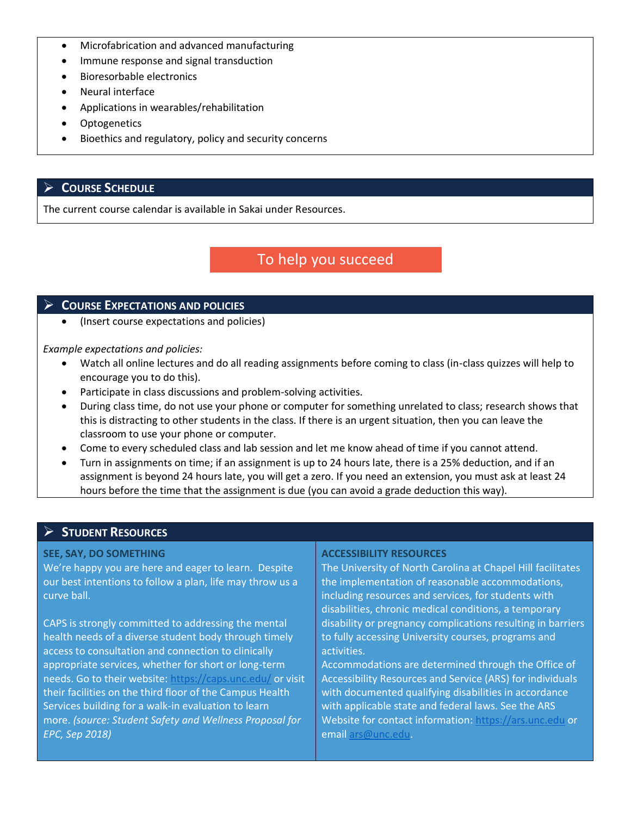- Microfabrication and advanced manufacturing
- Immune response and signal transduction
- Bioresorbable electronics
- Neural interface
- Applications in wearables/rehabilitation
- Optogenetics
- Bioethics and regulatory, policy and security concerns

### **COURSE SCHEDULE**

The current course calendar is available in Sakai under Resources.

## To help you succeed

### **COURSE EXPECTATIONS AND POLICIES**

• (Insert course expectations and policies)

*Example expectations and policies:*

- Watch all online lectures and do all reading assignments before coming to class (in-class quizzes will help to encourage you to do this).
- Participate in class discussions and problem-solving activities.
- During class time, do not use your phone or computer for something unrelated to class; research shows that this is distracting to other students in the class. If there is an urgent situation, then you can leave the classroom to use your phone or computer.
- Come to every scheduled class and lab session and let me know ahead of time if you cannot attend.
- Turn in assignments on time; if an assignment is up to 24 hours late, there is a 25% deduction, and if an assignment is beyond 24 hours late, you will get a zero. If you need an extension, you must ask at least 24 hours before the time that the assignment is due (you can avoid a grade deduction this way).

### **STUDENT RESOURCES**

#### **SEE, SAY, DO SOMETHING**

We're happy you are here and eager to learn. Despite our best intentions to follow a plan, life may throw us a curve ball.

CAPS is strongly committed to addressing the mental health needs of a diverse student body through timely access to consultation and connection to clinically appropriate services, whether for short or long-term needs. Go to their website: <https://caps.unc.edu/> or visit their facilities on the third floor of the Campus Health Services building for a walk-in evaluation to learn more. *(source: Student Safety and Wellness Proposal for EPC, Sep 2018)*

#### **ACCESSIBILITY RESOURCES**

The University of North Carolina at Chapel Hill facilitates the implementation of reasonable accommodations, including resources and services, for students with disabilities, chronic medical conditions, a temporary disability or pregnancy complications resulting in barriers to fully accessing University courses, programs and activities.

Accommodations are determined through the Office of Accessibility Resources and Service (ARS) for individuals with documented qualifying disabilities in accordance with applicable state and federal laws. See the ARS Website for contact information: [https://ars.unc.edu](https://ars.unc.edu/) or email [ars@unc.edu.](mailto:ars@unc.edu)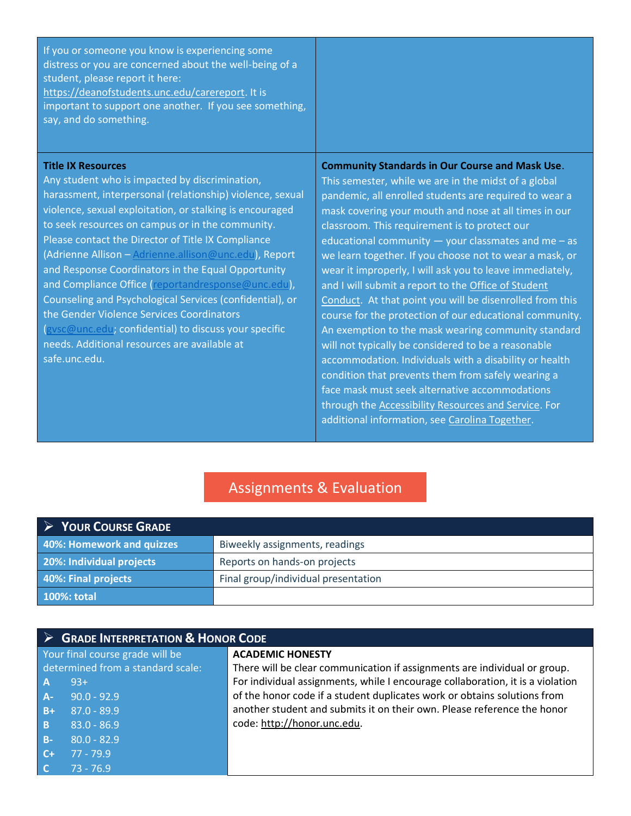|--|

#### **Title IX Resources**

Any student who is impacted by discrimination, harassment, interpersonal (relationship) violence, sexual violence, sexual exploitation, or stalking is encouraged to seek resources on campus or in the community. Please contact the Director of Title IX Compliance (Adrienne Allison – [Adrienne.allison@unc.edu\)](mailto:Adrienne.allison@unc.edu), Report and Response Coordinators in the Equal Opportunity and Compliance Office [\(reportandresponse@unc.edu\)](mailto:reportandresponse@unc.edu), Counseling and Psychological Services (confidential), or the Gender Violence Services Coordinators [\(gvsc@unc.edu;](mailto:gvsc@unc.edu) confidential) to discuss your specific needs. Additional resources are available at safe.unc.edu.

### **Community Standards in Our Course and Mask Use**.

This semester, while we are in the midst of a global pandemic, all enrolled students are required to wear a mask covering your mouth and nose at all times in our classroom. This requirement is to protect our educational community  $-$  your classmates and me  $-$  as we learn together. If you choose not to wear a mask, or wear it improperly, I will ask you to leave immediately, and I will submit a report to the [Office of Student](https://cm.maxient.com/reportingform.php?UNCChapelHill&layout_id=23)  [Conduct.](https://cm.maxient.com/reportingform.php?UNCChapelHill&layout_id=23) At that point you will be disenrolled from this course for the protection of our educational community. An exemption to the mask wearing community standard will not typically be considered to be a reasonable accommodation. Individuals with a disability or health condition that prevents them from safely wearing a face mask must seek alternative accommodations through the [Accessibility Resources and Service.](https://ars.unc.edu/) For additional information, see [Carolina Together.](https://carolinatogether.unc.edu/university-guidelines-for-facemasks/)

## Assignments & Evaluation

| YOUR COURSE GRADE         |                                     |  |
|---------------------------|-------------------------------------|--|
| 40%: Homework and quizzes | Biweekly assignments, readings      |  |
| 20%: Individual projects  | Reports on hands-on projects        |  |
| 40%: Final projects       | Final group/individual presentation |  |
| 100%: total               |                                     |  |

|                                 | > GRADE INTERPRETATION & HONOR CODE |                                                                                |  |
|---------------------------------|-------------------------------------|--------------------------------------------------------------------------------|--|
| Your final course grade will be |                                     | <b>ACADEMIC HONESTY</b>                                                        |  |
|                                 | determined from a standard scale:   | There will be clear communication if assignments are individual or group.      |  |
| $\overline{A}$                  | $93+$                               | For individual assignments, while I encourage collaboration, it is a violation |  |
| $A -$                           | $90.0 - 92.9$                       | of the honor code if a student duplicates work or obtains solutions from       |  |
| $B+$                            | $ 87.0 - 89.9 $                     | another student and submits it on their own. Please reference the honor        |  |
| B                               | $83.0 - 86.9$                       | code: http://honor.unc.edu.                                                    |  |
| $B -$                           | $80.0 - 82.9$                       |                                                                                |  |
| $C +$                           | $77 - 79.9$                         |                                                                                |  |
| $\overline{C}$                  | $73 - 76.9$                         |                                                                                |  |
|                                 |                                     |                                                                                |  |